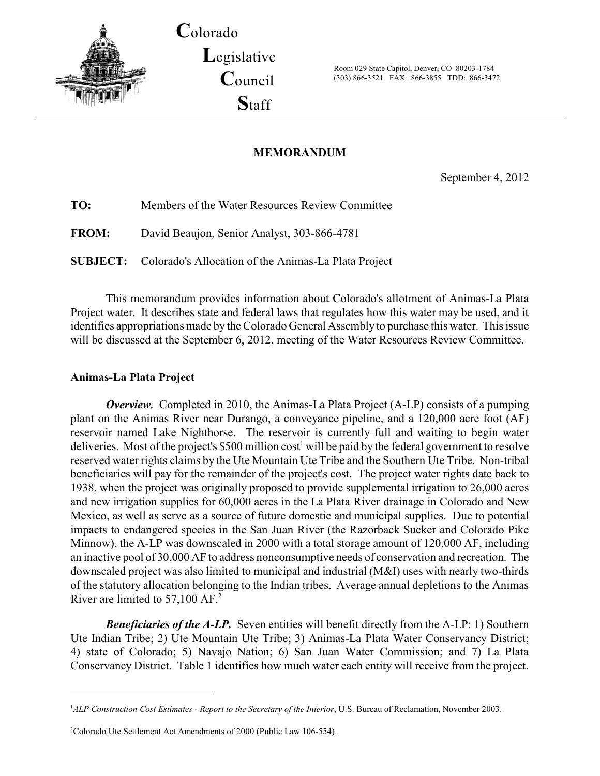

**C**olorado **L**egislative **C**ouncil **S**taff

Room 029 State Capitol, Denver, CO 80203-1784 (303) 866-3521 FAX: 866-3855 TDD: 866-3472

## **MEMORANDUM**

September 4, 2012

| TO:          | Members of the Water Resources Review Committee                      |
|--------------|----------------------------------------------------------------------|
| <b>FROM:</b> | David Beaujon, Senior Analyst, 303-866-4781                          |
|              | <b>SUBJECT:</b> Colorado's Allocation of the Animas-La Plata Project |

This memorandum provides information about Colorado's allotment of Animas-La Plata Project water. It describes state and federal laws that regulates how this water may be used, and it identifies appropriations made by the Colorado General Assembly to purchase this water. This issue will be discussed at the September 6, 2012, meeting of the Water Resources Review Committee.

## **Animas-La Plata Project**

*Overview.* Completed in 2010, the Animas-La Plata Project (A-LP) consists of a pumping plant on the Animas River near Durango, a conveyance pipeline, and a 120,000 acre foot (AF) reservoir named Lake Nighthorse. The reservoir is currently full and waiting to begin water deliveries. Most of the project's \$500 million  $cost<sup>1</sup>$  will be paid by the federal government to resolve reserved water rights claims by the Ute Mountain Ute Tribe and the Southern Ute Tribe. Non-tribal beneficiaries will pay for the remainder of the project's cost. The project water rights date back to 1938, when the project was originally proposed to provide supplemental irrigation to 26,000 acres and new irrigation supplies for 60,000 acres in the La Plata River drainage in Colorado and New Mexico, as well as serve as a source of future domestic and municipal supplies. Due to potential impacts to endangered species in the San Juan River (the Razorback Sucker and Colorado Pike Minnow), the A-LP was downscaled in 2000 with a total storage amount of 120,000 AF, including an inactive pool of 30,000 AF to address nonconsumptive needs of conservation and recreation. The downscaled project was also limited to municipal and industrial (M&I) uses with nearly two-thirds of the statutory allocation belonging to the Indian tribes. Average annual depletions to the Animas River are limited to 57,100 AF.<sup>2</sup>

*Beneficiaries of the A-LP.* Seven entities will benefit directly from the A-LP: 1) Southern Ute Indian Tribe; 2) Ute Mountain Ute Tribe; 3) Animas-La Plata Water Conservancy District; 4) state of Colorado; 5) Navajo Nation; 6) San Juan Water Commission; and 7) La Plata Conservancy District. Table 1 identifies how much water each entity will receive from the project.

<sup>&</sup>lt;sup>1</sup>ALP Construction Cost Estimates - Report to the Secretary of the Interior, U.S. Bureau of Reclamation, November 2003.

<sup>&</sup>lt;sup>2</sup>Colorado Ute Settlement Act Amendments of 2000 (Public Law 106-554).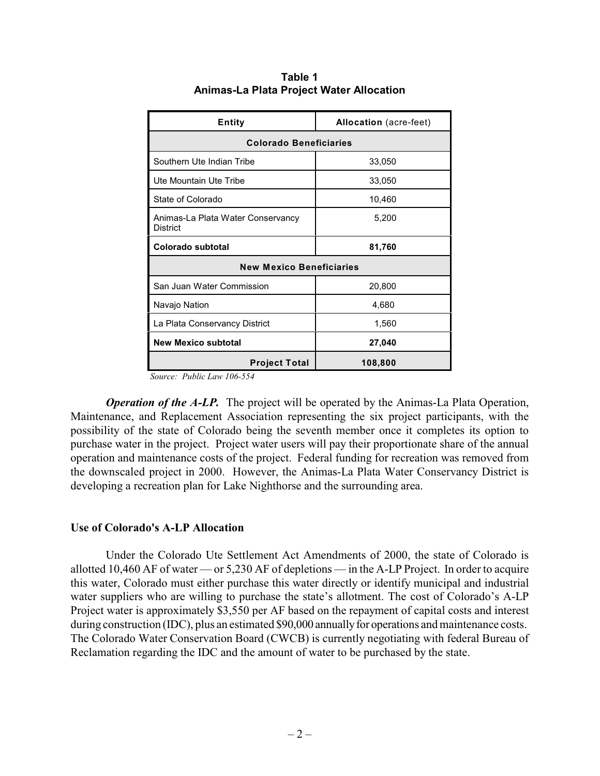| <b>Entity</b>                                        | <b>Allocation</b> (acre-feet) |  |  |
|------------------------------------------------------|-------------------------------|--|--|
| <b>Colorado Beneficiaries</b>                        |                               |  |  |
| Southern Ute Indian Tribe                            | 33,050                        |  |  |
| Ute Mountain Ute Tribe                               | 33,050                        |  |  |
| State of Colorado                                    | 10,460                        |  |  |
| Animas-La Plata Water Conservancy<br><b>District</b> | 5,200                         |  |  |
| Colorado subtotal                                    | 81,760                        |  |  |
| <b>New Mexico Beneficiaries</b>                      |                               |  |  |
| San Juan Water Commission                            | 20,800                        |  |  |
| Navajo Nation                                        | 4,680                         |  |  |
| La Plata Conservancy District                        | 1,560                         |  |  |
| <b>New Mexico subtotal</b>                           | 27,040                        |  |  |
| <b>Project Total</b>                                 | 108,800                       |  |  |

**Table 1 Animas-La Plata Project Water Allocation**

*Source: Public Law 106-554*

*Operation of the A-LP.* The project will be operated by the Animas-La Plata Operation, Maintenance, and Replacement Association representing the six project participants, with the possibility of the state of Colorado being the seventh member once it completes its option to purchase water in the project. Project water users will pay their proportionate share of the annual operation and maintenance costs of the project. Federal funding for recreation was removed from the downscaled project in 2000. However, the Animas-La Plata Water Conservancy District is developing a recreation plan for Lake Nighthorse and the surrounding area.

## **Use of Colorado's A-LP Allocation**

Under the Colorado Ute Settlement Act Amendments of 2000, the state of Colorado is allotted 10,460 AF of water — or 5,230 AF of depletions — in the A-LP Project. In order to acquire this water, Colorado must either purchase this water directly or identify municipal and industrial water suppliers who are willing to purchase the state's allotment. The cost of Colorado's A-LP Project water is approximately \$3,550 per AF based on the repayment of capital costs and interest during construction (IDC), plus an estimated \$90,000 annually for operations and maintenance costs. The Colorado Water Conservation Board (CWCB) is currently negotiating with federal Bureau of Reclamation regarding the IDC and the amount of water to be purchased by the state.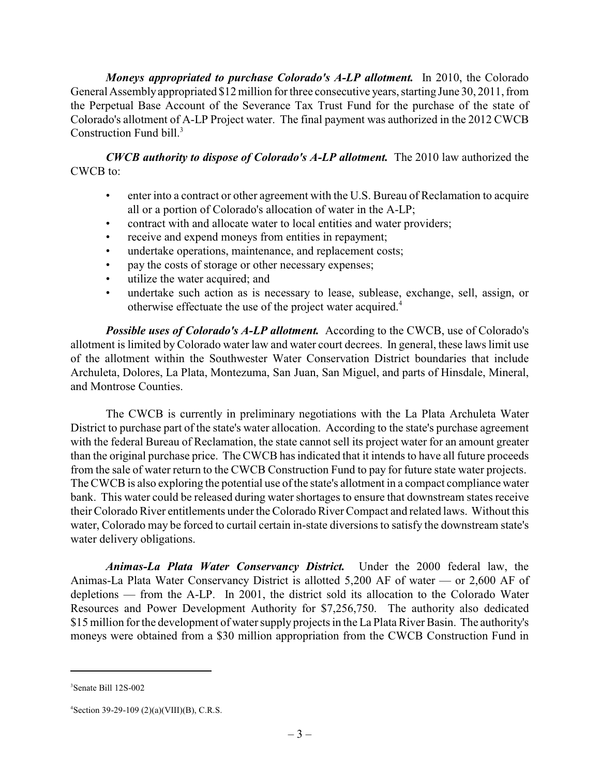*Moneys appropriated to purchase Colorado's A-LP allotment.* In 2010, the Colorado General Assemblyappropriated \$12 million for three consecutive years, starting June 30, 2011, from the Perpetual Base Account of the Severance Tax Trust Fund for the purchase of the state of Colorado's allotment of A-LP Project water. The final payment was authorized in the 2012 CWCB Construction Fund bill.<sup>3</sup>

*CWCB authority to dispose of Colorado's A-LP allotment.* The 2010 law authorized the CWCB to:

- enter into a contract or other agreement with the U.S. Bureau of Reclamation to acquire all or a portion of Colorado's allocation of water in the A-LP;
- contract with and allocate water to local entities and water providers;
- receive and expend moneys from entities in repayment;
- undertake operations, maintenance, and replacement costs;
- pay the costs of storage or other necessary expenses;
- utilize the water acquired; and
- undertake such action as is necessary to lease, sublease, exchange, sell, assign, or otherwise effectuate the use of the project water acquired.<sup>4</sup>

*Possible uses of Colorado's A-LP allotment.* According to the CWCB, use of Colorado's allotment is limited by Colorado water law and water court decrees. In general, these laws limit use of the allotment within the Southwester Water Conservation District boundaries that include Archuleta, Dolores, La Plata, Montezuma, San Juan, San Miguel, and parts of Hinsdale, Mineral, and Montrose Counties.

The CWCB is currently in preliminary negotiations with the La Plata Archuleta Water District to purchase part of the state's water allocation. According to the state's purchase agreement with the federal Bureau of Reclamation, the state cannot sell its project water for an amount greater than the original purchase price. The CWCB has indicated that it intends to have all future proceeds from the sale of water return to the CWCB Construction Fund to pay for future state water projects. The CWCB is also exploring the potential use of the state's allotment in a compact compliance water bank. This water could be released during water shortages to ensure that downstream states receive their Colorado River entitlements under the Colorado River Compact and related laws. Without this water, Colorado may be forced to curtail certain in-state diversions to satisfy the downstream state's water delivery obligations.

*Animas-La Plata Water Conservancy District.* Under the 2000 federal law, the Animas-La Plata Water Conservancy District is allotted 5,200 AF of water — or 2,600 AF of depletions — from the A-LP. In 2001, the district sold its allocation to the Colorado Water Resources and Power Development Authority for \$7,256,750. The authority also dedicated \$15 million for the development of water supply projects in the La Plata River Basin. The authority's moneys were obtained from a \$30 million appropriation from the CWCB Construction Fund in

Senate Bill 12S-002 3

 ${}^{4}$ Section 39-29-109 (2)(a)(VIII)(B), C.R.S.